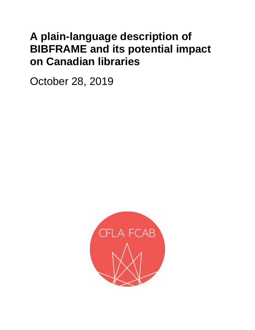# **A plain-language description of BIBFRAME and its potential impact on Canadian libraries**

October 28, 2019

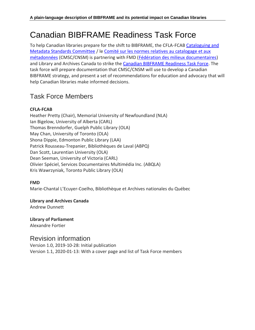## Canadian BIBFRAME Readiness Task Force

To help Canadian libraries prepare for the shift to BIBFRAME, the CFLA-FCAB Cataloguing and [Metadata Standards Committee](http://cfla-fcab.ca/en/about/committees/cms-committee/) / le [Comité sur les normes relatives au catalogage et aux](http://cfla-fcab.ca/fr/apropos/comites/comite_csm/)  [métadonnées](http://cfla-fcab.ca/fr/apropos/comites/comite_csm/) (CMSC/CNSM) is partnering with FMD [\(Fédération des milieux documentaires\)](https://fmdoc.org/) and Library and Archives Canada to strike the [Canadian BIBFRAME Readiness Task Force.](http://cfla-fcab.ca/en/about/committees/cms-committee/canadian-bibframe-readiness-task-force/) The task force will prepare documentation that CMSC/CNSM will use to develop a Canadian BIBFRAME strategy, and present a set of recommendations for education and advocacy that will help Canadian libraries make informed decisions.

### Task Force Members

#### **CFLA-FCAB**

Heather Pretty (Chair), Memorial University of Newfoundland (NLA) Ian Bigelow, University of Alberta (CARL) Thomas Brenndorfer, Guelph Public Library (OLA) May Chan, University of Toronto (OLA) Shona Dippie, Edmonton Public Library (LAA) Patrick Rousseau-Trepanier, Bibliothèques de Laval (ABPQ) Dan Scott, Laurentian University (OLA) Dean Seeman, University of Victoria (CARL) Olivier Spéciel, Services Documentaires Multimédia Inc. (ABQLA) Kris Wawrzyniak, Toronto Public Library (OLA)

#### **FMD**

Marie-Chantal L'Ecuyer-Coelho, Bibliothèque et Archives nationales du Québec

#### **Library and Archives Canada**

Andrew Dunnett

**Library of Parliament** Alexandre Fortier

#### Revision information

Version 1.0, 2019-10-28: Initial publication Version 1.1, 2020-01-13: With a cover page and list of Task Force members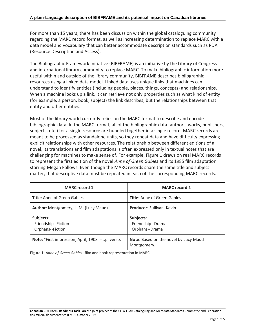For more than 15 years, there has been discussion within the global cataloguing community regarding the MARC record format, as well as increasing determination to replace MARC with a data model and vocabulary that can better accommodate description standards such as RDA (Resource Description and Access).

The Bibliographic Framework Initiative (BIBFRAME) is an initiative by the Library of Congress and international library community to replace MARC. To make bibliographic information more useful within and outside of the library community, BIBFRAME describes bibliographic resources using a linked data model. Linked data uses unique links that machines can understand to identify entities (including people, places, things, concepts) and relationships. When a machine looks up a link, it can retrieve not only properties such as what kind of entity (for example, a person, book, subject) the link describes, but the relationships between that entity and other entities.

Most of the library world currently relies on the MARC format to describe and encode bibliographic data. In the MARC format, all of the bibliographic data (authors, works, publishers, subjects, etc.) for a single resource are bundled together in a single record. MARC records are meant to be processed as standalone units, so they repeat data and have difficulty expressing explicit relationships with other resources. The relationship between different editions of a novel, its translations and film adaptations is often expressed only in textual notes that are challenging for machines to make sense of. For example, Figure 1 draws on real MARC records to represent the first edition of the novel *Anne of Green Gables* and its 1985 film adaptation starring Megan Follows. Even though the MARC records share the same title and subject matter, that descriptive data must be repeated in each of the corresponding MARC records.

| <b>MARC</b> record 1                                 | <b>MARC record 2</b>                                 |  |
|------------------------------------------------------|------------------------------------------------------|--|
| <b>Title: Anne of Green Gables</b>                   | <b>Title:</b> Anne of Green Gables                   |  |
| Author: Montgomery, L. M. (Lucy Maud)                | Producer: Sullivan, Kevin                            |  |
| Subjects:<br>Friendship--Fiction<br>Orphans--Fiction | Subjects:<br>Friendship--Drama<br>Orphans--Drama     |  |
| Note: "First impression, April, 1908"--t.p. verso.   | Note: Based on the novel by Lucy Maud<br>Montgomery. |  |

Figure 1: *Anne of Green Gables*--film and book representation in MARC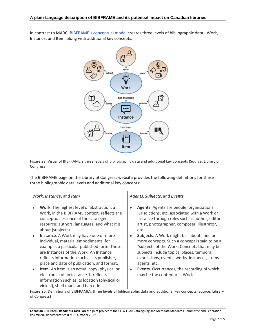In contrast to MARC, [BIBFRAME's conceptual model](http://www.loc.gov/bibframe/docs/bibframe2-model.html) creates three levels of bibliographic data - Work, Instance, and Item, along with additional key concepts:



Figure 2a: Visual of BIBFRAME's three levels of bibliographic data and additional key concepts (Source: Library of Congress)

The BIBFRAME page on the Library of Congress website provides the following definitions for these three bibliographic data levels and additional key concepts:

| Work, Instance, and Item |                                                                                                                                                                                                                                                                      | Agents, Subjects, and Events |                                                                                                                                                                                                                                                        |
|--------------------------|----------------------------------------------------------------------------------------------------------------------------------------------------------------------------------------------------------------------------------------------------------------------|------------------------------|--------------------------------------------------------------------------------------------------------------------------------------------------------------------------------------------------------------------------------------------------------|
|                          | Work. The highest level of abstraction, a<br>Work, in the BIBFRAME context, reflects the<br>conceptual essence of the cataloged<br>resource: authors, languages, and what it is<br>about (subjects).                                                                 |                              | Agents. Agents are people, organizations,<br>jurisdictions, etc. associated with a Work or<br>Instance through roles such as author, editor,<br>artist, photographer, composer, illustrator,<br>etc.                                                   |
| $\bullet$                | Instance. A Work may have one or more<br>individual, material embodiments, for<br>example, a particular published form. These<br>are Instances of the Work. An Instance<br>reflects information such as its publisher,<br>place and date of publication, and format. |                              | Subjects. A Work might be "about" one or<br>more concepts. Such a concept is said to be a<br>"subject" of the Work. Concepts that may be<br>subjects include topics, places, temporal<br>expressions, events, works, instances, items,<br>agents, etc. |
| $\bullet$                | Item. An item is an actual copy (physical or<br>electronic) of an Instance. It reflects<br>information such as its location (physical or<br>virtual), shelf mark, and barcode.                                                                                       | $\bullet$                    | Events. Occurrences, the recording of which<br>may be the content of a Work                                                                                                                                                                            |

Figure 2b: Definitions of BIBFRAME's three levels of bibliographic data and additional key concepts (Source: Library of Congress)

**Canadian BIBFRAME Readiness Task Force**: a joint project of the CFLA-FCAB Cataloguing and Metadata Standards Committee and Fédération des milieux documentaries (FMD). October 2019.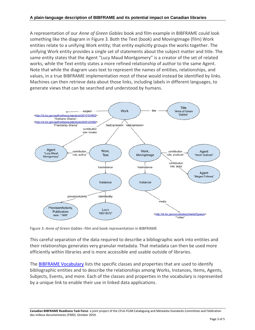A representation of our *Anne of Green Gables* book and film example in BIBFRAME could look something like the diagram in Figure 3. Both the Text (book) and MovingImage (film) Work entities relate to a unifying Work entity; that entity explicitly groups the works together. The unifying Work entity provides a single set of statements about the subject matter and title. The same entity states that the Agent "Lucy Maud Montgomery" is a creator of the set of related works, while the Text entity states a more refined relationship of author to the same Agent. Note that while the diagram uses text to represent the names of entities, relationships, and values, in a true BIBFRAME implementation most of these would instead be identified by links. Machines can then retrieve data about those links, including labels in different languages, to generate views that can be searched and understood by humans.



Figure 3: *Anne of Green Gables*--film and book representation in BIBFRAME

This careful separation of the data required to describe a bibliographic work into entities and their relationships generates very granular metadata. That metadata can then be used more efficiently within libraries and is more accessible and usable outside of libraries.

The [BIBFRAME Vocabulary](http://id.loc.gov/ontologies/bibframe.html) lists the specific classes and properties that are used to identify bibliographic entities and to describe the relationships among Works, Instances, Items, Agents, Subjects, Events, and more. Each of the classes and properties in the vocabulary is represented by a unique link to enable their use in linked data applications.

**Canadian BIBFRAME Readiness Task Force**: a joint project of the CFLA-FCAB Cataloguing and Metadata Standards Committee and Fédération des milieux documentaries (FMD). October 2019.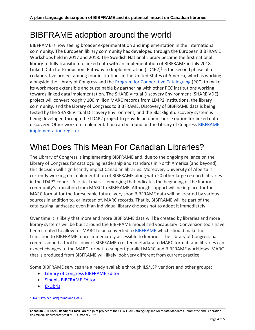### BIBFRAME adoption around the world

BIBFRAME is now seeing broader experimentation and implementation in the international community. The European library community has developed through the European BIBFRAME Workshops held in 2017 and 2018. The Swedish National Library became the first national library to fully transition to linked data with an implementation of BIBFRAME in July 2018. Linked Data for Production: Pathway to Implementation (LD4P2)<sup>1</sup> is the second phase of a collaborative project among four institutions in the United States of America, which is working alongside the Library of Congress and the [Program for Cooperative Cataloguing](https://www.loc.gov/aba/pcc/) (PCC) to make its work more extensible and sustainable by partnering with other PCC institutions working towards linked data implementation. The SHARE Virtual Discovery Environment (SHARE VDE) project will convert roughly 100 million MARC records from LD4P2 institutions, the library community, and the Library of Congress to BIBFRAME. Discovery of BIBFRAME data is being tested by the SHARE Virtual Discovery Environment, and the Blacklight discovery system is being developed through the LD4P2 project to provide an open source option for linked data discovery. Other work on implementation can be found on the Library of Congress **BIBFRAME** [implementation register.](https://www.loc.gov/bibframe/implementation/register.html)

### What Does This Mean For Canadian Libraries?

The Library of Congress is implementing BIBFRAME and, due to the ongoing reliance on the Library of Congress for cataloguing leadership and standards in North America (and beyond), this decision will significantly impact Canadian libraries. Moreover, University of Alberta is currently working on implementation of BIBFRAME along with 20 other large research libraries in the LD4P2 cohort. A critical mass is emerging that indicates the beginning of the library community's transition from MARC to BIBFRAME. Although support will be in place for the MARC format for the foreseeable future, very soon BIBFRAME data will be created by various sources in addition to, or instead of, MARC records. That is, BIBFRAME will be part of the cataloguing landscape even if an individual library chooses not to adopt it immediately.

Over time it is likely that more and more BIBFRAME data will be created by libraries and more library systems will be built around the BIBFRAME model and vocabulary. Conversion tools have been created to allow for MARC to be converted to [BIBFRAME](https://www.loc.gov/bibframe/implementation/index.html) which should make the transition to BIBFRAME more immediately accessible to libraries. The Library of Congress has commissioned a tool to convert BIBFRAME-created metadata to MARC format, and libraries can expect changes to the MARC format to support parallel MARC and BIBFRAME workflows. MARC that is produced from BIBFRAME will likely look very different from current practice.

Some BIBFRAME services are already available through ILS/LSP vendors and other groups:

- [Library of Congress BIBFRAME Editor](http://bibframe.org/bfe/index.html)
- [Sinopia BIBFRAME Editor](https://sinopia.io/)
- [ExLibris](https://www.loc.gov/bibframe/news/pdf/exlibris-alamw2018.pdf)

<sup>1</sup> [LD4P2 Project Background and Goals.](https://wiki.duraspace.org/display/LD4P2/LD4P2+Project+Background+and+Goals)